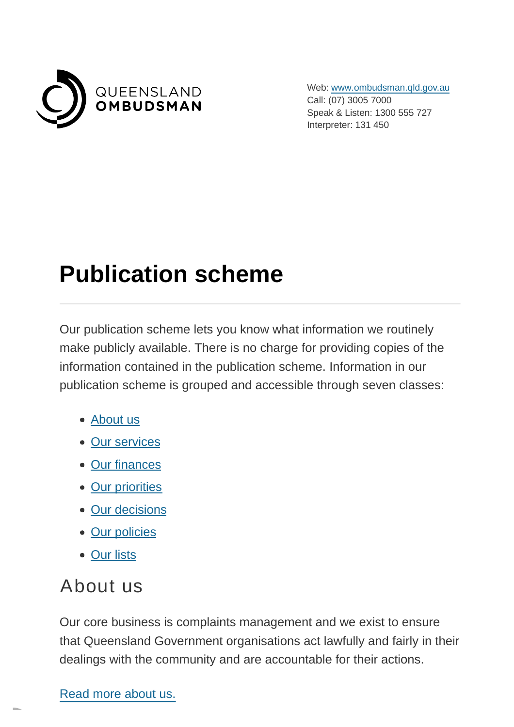

Web: [www.ombudsman.qld.gov.au](https://www.ombudsman.qld.gov.au/) Call: (07) 3005 7000 Speak & Listen: 1300 555 727 Interpreter: 131 450

# **Publication scheme**

Our publication scheme lets you know what information we routinely make publicly available. There is no charge for providing copies of the information contained in the publication scheme. Information in our publication scheme is grouped and accessible through seven classes:

- [About us](https://www.ombudsman.qld.gov.au/about-us/right-to-information/publication-scheme?PrintToPDF=True&dummy=202271030#AboutUs)
- [Our services](https://www.ombudsman.qld.gov.au/about-us/right-to-information/publication-scheme?PrintToPDF=True&dummy=202271030#OurServices)
- [Our finances](https://www.ombudsman.qld.gov.au/about-us/right-to-information/publication-scheme?PrintToPDF=True&dummy=202271030#OurFinances)
- [Our priorities](https://www.ombudsman.qld.gov.au/about-us/right-to-information/publication-scheme?PrintToPDF=True&dummy=202271030#OurPriorities)
- [Our decisions](https://www.ombudsman.qld.gov.au/about-us/right-to-information/publication-scheme?PrintToPDF=True&dummy=202271030#OurDecisions)
- [Our policies](https://www.ombudsman.qld.gov.au/about-us/right-to-information/publication-scheme?PrintToPDF=True&dummy=202271030#OurPolicies)
- [Our lists](https://www.ombudsman.qld.gov.au/about-us/right-to-information/publication-scheme?PrintToPDF=True&dummy=202271030#OurLists)

#### About us

Our core business is complaints management and we exist to ensure that Queensland Government organisations act lawfully and fairly in their dealings with the community and are accountable for their actions.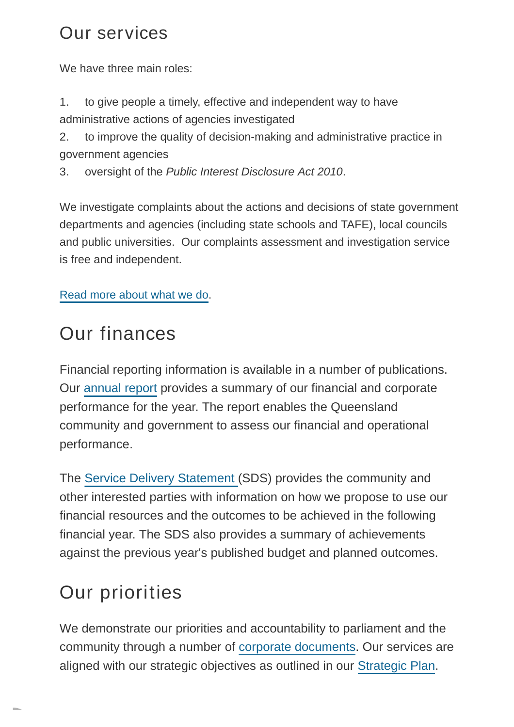#### Our services

We have three main roles:

1. to give people a timely, effective and independent way to have administrative actions of agencies investigated

2. to improve the quality of decision-making and administrative practice in government agencies

3. oversight of the Public Interest Disclosure Act 2010.

We investigate complaints about the actions and decisions of state government departments and agencies (including state schools and TAFE), local councils and public universities. Our complaints assessment and investigation service is free and independent.

[Read more about what we do.](https://www.ombudsman.qld.gov.au/what-we-do) 

# Our finances

Financial reporting information is available in a number of publications. Our [annual report p](https://www.ombudsman.qld.gov.au/about-us/corporate-documents/annual-report/annual-report)rovides a summary of our financial and corporate performance for the year. The report enables the Queensland community and government to assess our financial and operational performance.

The [Service Delivery Statement \(](https://documents.parliament.qld.gov.au/TableOffice/TabledPapers/2021/5721T1461.pdf)SDS) provides the community and other interested parties with information on how we propose to use our financial resources and the outcomes to be achieved in the following financial year. The SDS also provides a summary of achievements against the previous year's published budget and planned outcomes.

# Our priorities

We demonstrate our priorities and accountability to parliament and the community through a number of [corporate documents.](https://www.ombudsman.qld.gov.au/about-us/corporate-documents) Our services are aligned with our strategic objectives as outlined in our [Strategic Plan.](https://www.ombudsman.qld.gov.au/about-us/corporate-documents/strategic-plan-2021-25)